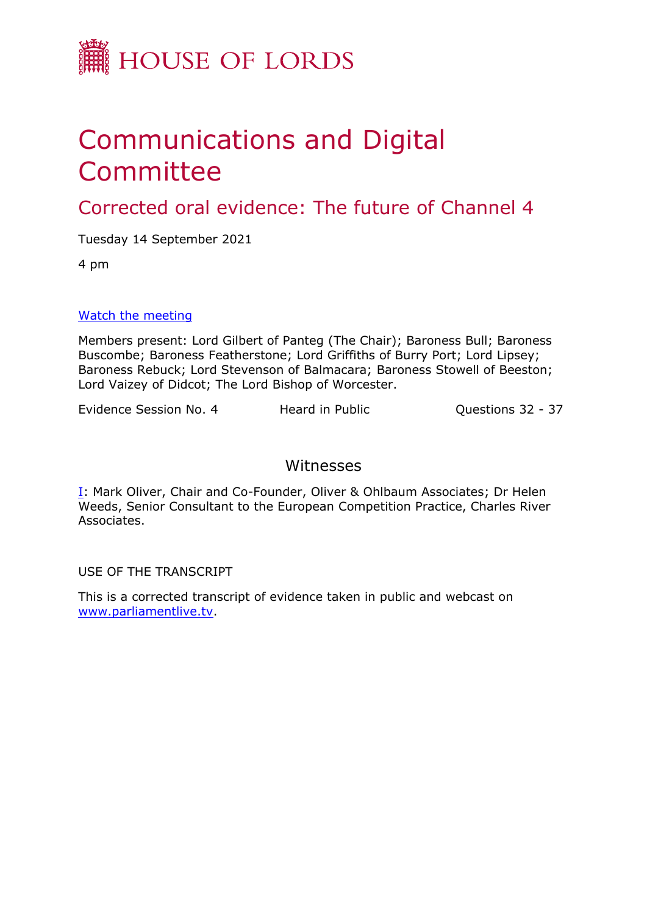

## Communications and Digital Committee

Corrected oral evidence: The future of Channel 4

Tuesday 14 September 2021

4 pm

## [Watch](https://parliamentlive.tv/event/index/4bd27617-a444-447e-a3ed-9fc1f6b96402) [the](https://parliamentlive.tv/event/index/4bd27617-a444-447e-a3ed-9fc1f6b96402) [meeting](https://parliamentlive.tv/event/index/4bd27617-a444-447e-a3ed-9fc1f6b96402)

Members present: Lord Gilbert of Panteg (The Chair); Baroness Bull; Baroness Buscombe; Baroness Featherstone; Lord Griffiths of Burry Port; Lord Lipsey; Baroness Rebuck; Lord Stevenson of Balmacara; Baroness Stowell of Beeston; Lord Vaizey of Didcot; The Lord Bishop of Worcester.

Evidence Session No. 4 Heard in Public Cuestions 32 - 37

## Witnesses

[I:](#page-1-0) Mark Oliver, Chair and Co-Founder, Oliver & Ohlbaum Associates; Dr Helen Weeds, Senior Consultant to the European Competition Practice, Charles River Associates.

USE OF THE TRANSCRIPT

This is a corrected transcript of evidence taken in public and webcast on [www.parliamentlive.tv](http://www.parliamentlive.tv/).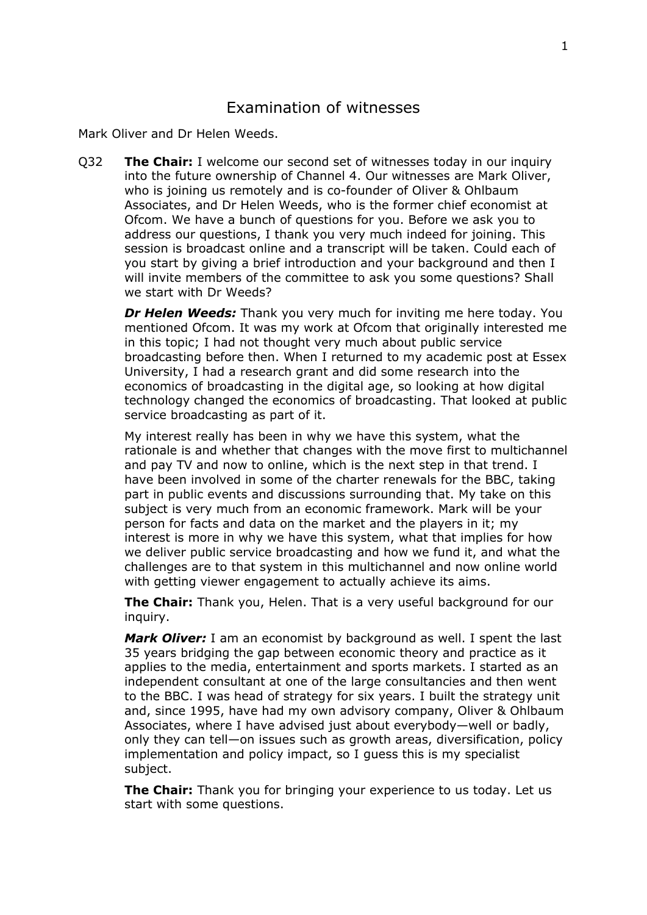<span id="page-1-0"></span>Mark Oliver and Dr Helen Weeds.

Q32 **The Chair:** I welcome our second set of witnesses today in our inquiry into the future ownership of Channel 4. Our witnesses are Mark Oliver, who is joining us remotely and is co-founder of Oliver & Ohlbaum Associates, and Dr Helen Weeds, who is the former chief economist at Ofcom. We have a bunch of questions for you. Before we ask you to address our questions, I thank you very much indeed for joining. This session is broadcast online and a transcript will be taken. Could each of you start by giving a brief introduction and your background and then I will invite members of the committee to ask you some questions? Shall we start with Dr Weeds?

*Dr Helen Weeds:* Thank you very much for inviting me here today. You mentioned Ofcom. It was my work at Ofcom that originally interested me in this topic; I had not thought very much about public service broadcasting before then. When I returned to my academic post at Essex University, I had a research grant and did some research into the economics of broadcasting in the digital age, so looking at how digital technology changed the economics of broadcasting. That looked at public service broadcasting as part of it.

My interest really has been in why we have this system, what the rationale is and whether that changes with the move first to multichannel and pay TV and now to online, which is the next step in that trend. I have been involved in some of the charter renewals for the BBC, taking part in public events and discussions surrounding that. My take on this subject is very much from an economic framework. Mark will be your person for facts and data on the market and the players in it; my interest is more in why we have this system, what that implies for how we deliver public service broadcasting and how we fund it, and what the challenges are to that system in this multichannel and now online world with getting viewer engagement to actually achieve its aims.

**The Chair:** Thank you, Helen. That is a very useful background for our inquiry.

*Mark Oliver:* I am an economist by background as well. I spent the last 35 years bridging the gap between economic theory and practice as it applies to the media, entertainment and sports markets. I started as an independent consultant at one of the large consultancies and then went to the BBC. I was head of strategy for six years. I built the strategy unit and, since 1995, have had my own advisory company, Oliver & Ohlbaum Associates, where I have advised just about everybody—well or badly, only they can tell—on issues such as growth areas, diversification, policy implementation and policy impact, so I guess this is my specialist subject.

**The Chair:** Thank you for bringing your experience to us today. Let us start with some questions.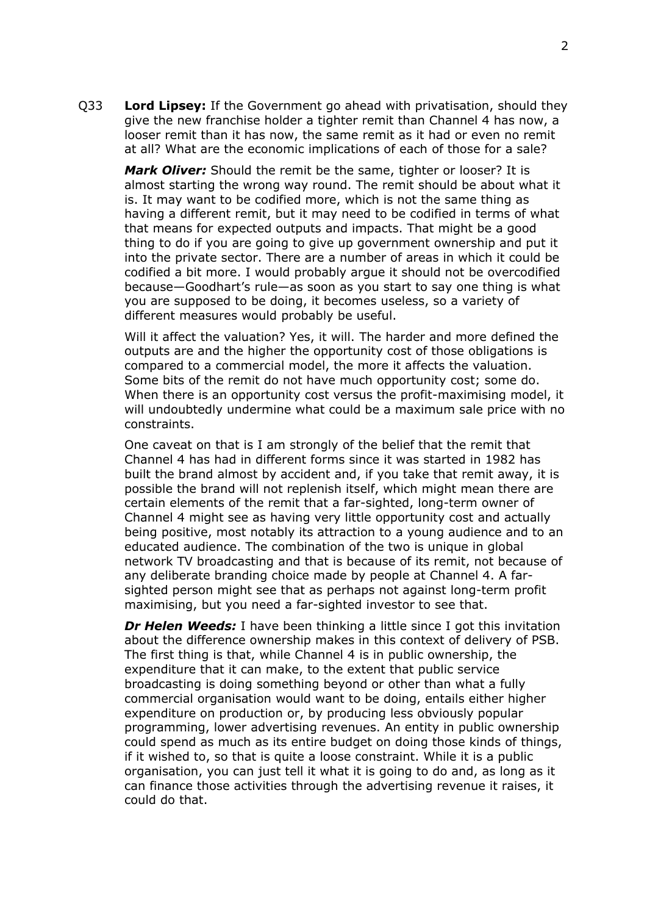Q33 **Lord Lipsey:** If the Government go ahead with privatisation, should they give the new franchise holder a tighter remit than Channel 4 has now, a looser remit than it has now, the same remit as it had or even no remit at all? What are the economic implications of each of those for a sale?

*Mark Oliver:* Should the remit be the same, tighter or looser? It is almost starting the wrong way round. The remit should be about what it is. It may want to be codified more, which is not the same thing as having a different remit, but it may need to be codified in terms of what that means for expected outputs and impacts. That might be a good thing to do if you are going to give up government ownership and put it into the private sector. There are a number of areas in which it could be codified a bit more. I would probably argue it should not be overcodified because—Goodhart's rule—as soon as you start to say one thing is what you are supposed to be doing, it becomes useless, so a variety of different measures would probably be useful.

Will it affect the valuation? Yes, it will. The harder and more defined the outputs are and the higher the opportunity cost of those obligations is compared to a commercial model, the more it affects the valuation. Some bits of the remit do not have much opportunity cost; some do. When there is an opportunity cost versus the profit-maximising model, it will undoubtedly undermine what could be a maximum sale price with no constraints.

One caveat on that is I am strongly of the belief that the remit that Channel 4 has had in different forms since it was started in 1982 has built the brand almost by accident and, if you take that remit away, it is possible the brand will not replenish itself, which might mean there are certain elements of the remit that a far-sighted, long-term owner of Channel 4 might see as having very little opportunity cost and actually being positive, most notably its attraction to a young audience and to an educated audience. The combination of the two is unique in global network TV broadcasting and that is because of its remit, not because of any deliberate branding choice made by people at Channel 4. A farsighted person might see that as perhaps not against long-term profit maximising, but you need a far-sighted investor to see that.

*Dr Helen Weeds:* I have been thinking a little since I got this invitation about the difference ownership makes in this context of delivery of PSB. The first thing is that, while Channel 4 is in public ownership, the expenditure that it can make, to the extent that public service broadcasting is doing something beyond or other than what a fully commercial organisation would want to be doing, entails either higher expenditure on production or, by producing less obviously popular programming, lower advertising revenues. An entity in public ownership could spend as much as its entire budget on doing those kinds of things, if it wished to, so that is quite a loose constraint. While it is a public organisation, you can just tell it what it is going to do and, as long as it can finance those activities through the advertising revenue it raises, it could do that.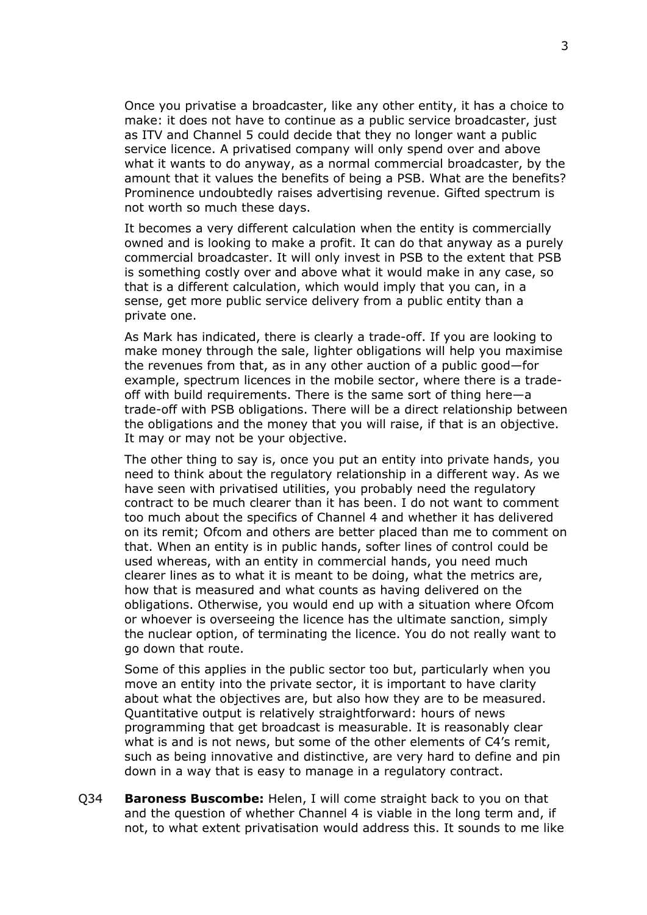Once you privatise a broadcaster, like any other entity, it has a choice to make: it does not have to continue as a public service broadcaster, just as ITV and Channel 5 could decide that they no longer want a public service licence. A privatised company will only spend over and above what it wants to do anyway, as a normal commercial broadcaster, by the amount that it values the benefits of being a PSB. What are the benefits? Prominence undoubtedly raises advertising revenue. Gifted spectrum is not worth so much these days.

It becomes a very different calculation when the entity is commercially owned and is looking to make a profit. It can do that anyway as a purely commercial broadcaster. It will only invest in PSB to the extent that PSB is something costly over and above what it would make in any case, so that is a different calculation, which would imply that you can, in a sense, get more public service delivery from a public entity than a private one.

As Mark has indicated, there is clearly a trade-off. If you are looking to make money through the sale, lighter obligations will help you maximise the revenues from that, as in any other auction of a public good—for example, spectrum licences in the mobile sector, where there is a tradeoff with build requirements. There is the same sort of thing here—a trade-off with PSB obligations. There will be a direct relationship between the obligations and the money that you will raise, if that is an objective. It may or may not be your objective.

The other thing to say is, once you put an entity into private hands, you need to think about the regulatory relationship in a different way. As we have seen with privatised utilities, you probably need the regulatory contract to be much clearer than it has been. I do not want to comment too much about the specifics of Channel 4 and whether it has delivered on its remit; Ofcom and others are better placed than me to comment on that. When an entity is in public hands, softer lines of control could be used whereas, with an entity in commercial hands, you need much clearer lines as to what it is meant to be doing, what the metrics are, how that is measured and what counts as having delivered on the obligations. Otherwise, you would end up with a situation where Ofcom or whoever is overseeing the licence has the ultimate sanction, simply the nuclear option, of terminating the licence. You do not really want to go down that route.

Some of this applies in the public sector too but, particularly when you move an entity into the private sector, it is important to have clarity about what the objectives are, but also how they are to be measured. Quantitative output is relatively straightforward: hours of news programming that get broadcast is measurable. It is reasonably clear what is and is not news, but some of the other elements of C4's remit, such as being innovative and distinctive, are very hard to define and pin down in a way that is easy to manage in a regulatory contract.

Q34 **Baroness Buscombe:** Helen, I will come straight back to you on that and the question of whether Channel 4 is viable in the long term and, if not, to what extent privatisation would address this. It sounds to me like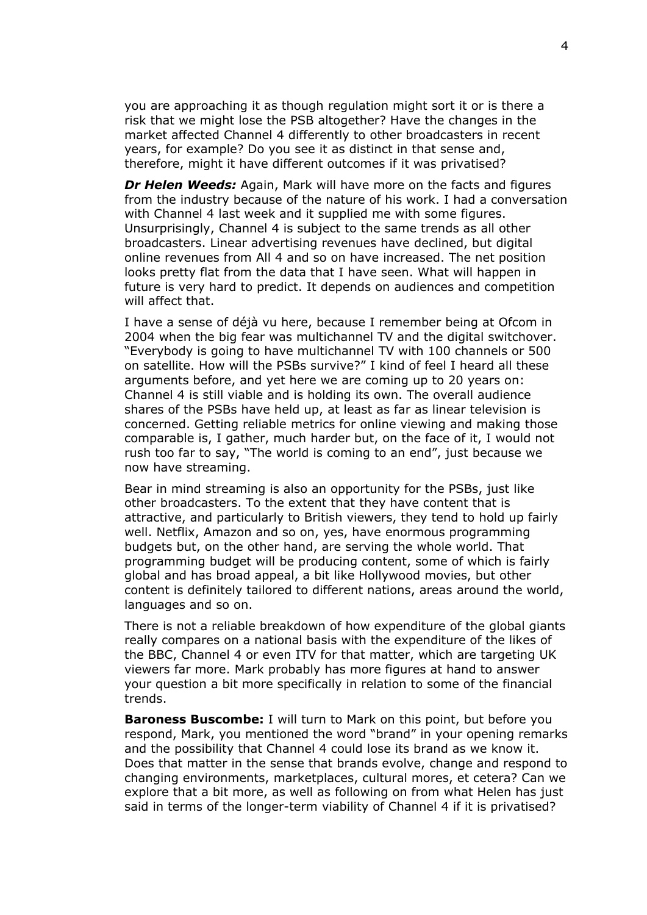you are approaching it as though regulation might sort it or is there a risk that we might lose the PSB altogether? Have the changes in the market affected Channel 4 differently to other broadcasters in recent years, for example? Do you see it as distinct in that sense and, therefore, might it have different outcomes if it was privatised?

*Dr Helen Weeds:* Again, Mark will have more on the facts and figures from the industry because of the nature of his work. I had a conversation with Channel 4 last week and it supplied me with some figures. Unsurprisingly, Channel 4 is subject to the same trends as all other broadcasters. Linear advertising revenues have declined, but digital online revenues from All 4 and so on have increased. The net position looks pretty flat from the data that I have seen. What will happen in future is very hard to predict. It depends on audiences and competition will affect that.

I have a sense of déjà vu here, because I remember being at Ofcom in 2004 when the big fear was multichannel TV and the digital switchover. "Everybody is going to have multichannel TV with 100 channels or 500 on satellite. How will the PSBs survive?" I kind of feel I heard all these arguments before, and yet here we are coming up to 20 years on: Channel 4 is still viable and is holding its own. The overall audience shares of the PSBs have held up, at least as far as linear television is concerned. Getting reliable metrics for online viewing and making those comparable is, I gather, much harder but, on the face of it, I would not rush too far to say, "The world is coming to an end", just because we now have streaming.

Bear in mind streaming is also an opportunity for the PSBs, just like other broadcasters. To the extent that they have content that is attractive, and particularly to British viewers, they tend to hold up fairly well. Netflix, Amazon and so on, yes, have enormous programming budgets but, on the other hand, are serving the whole world. That programming budget will be producing content, some of which is fairly global and has broad appeal, a bit like Hollywood movies, but other content is definitely tailored to different nations, areas around the world, languages and so on.

There is not a reliable breakdown of how expenditure of the global giants really compares on a national basis with the expenditure of the likes of the BBC, Channel 4 or even ITV for that matter, which are targeting UK viewers far more. Mark probably has more figures at hand to answer your question a bit more specifically in relation to some of the financial trends.

**Baroness Buscombe:** I will turn to Mark on this point, but before you respond, Mark, you mentioned the word "brand" in your opening remarks and the possibility that Channel 4 could lose its brand as we know it. Does that matter in the sense that brands evolve, change and respond to changing environments, marketplaces, cultural mores, et cetera? Can we explore that a bit more, as well as following on from what Helen has just said in terms of the longer-term viability of Channel 4 if it is privatised?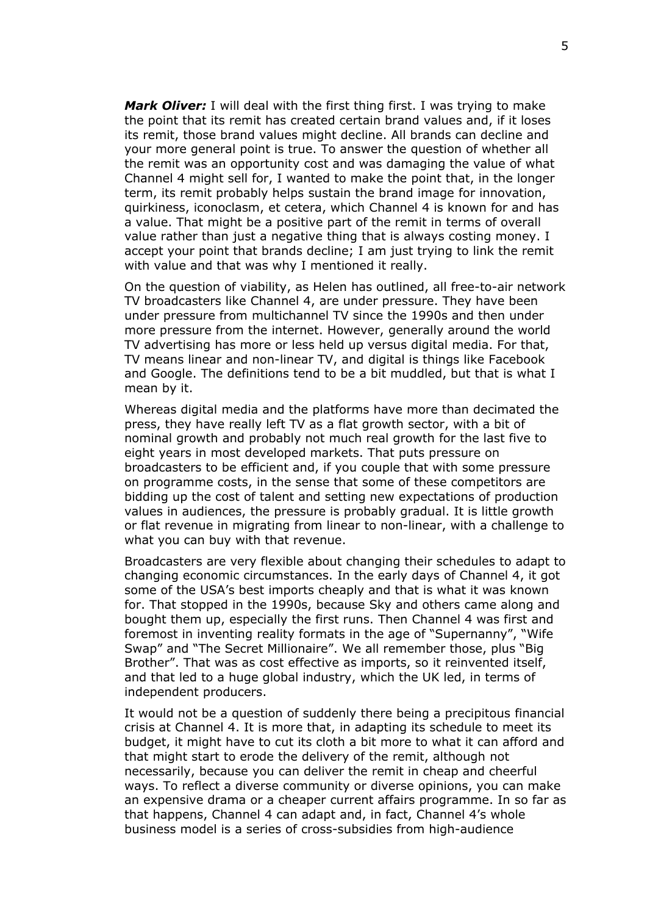*Mark Oliver:* I will deal with the first thing first. I was trying to make the point that its remit has created certain brand values and, if it loses its remit, those brand values might decline. All brands can decline and your more general point is true. To answer the question of whether all the remit was an opportunity cost and was damaging the value of what Channel 4 might sell for, I wanted to make the point that, in the longer term, its remit probably helps sustain the brand image for innovation, quirkiness, iconoclasm, et cetera, which Channel 4 is known for and has a value. That might be a positive part of the remit in terms of overall value rather than just a negative thing that is always costing money. I accept your point that brands decline; I am just trying to link the remit with value and that was why I mentioned it really.

On the question of viability, as Helen has outlined, all free-to-air network TV broadcasters like Channel 4, are under pressure. They have been under pressure from multichannel TV since the 1990s and then under more pressure from the internet. However, generally around the world TV advertising has more or less held up versus digital media. For that, TV means linear and non-linear TV, and digital is things like Facebook and Google. The definitions tend to be a bit muddled, but that is what I mean by it.

Whereas digital media and the platforms have more than decimated the press, they have really left TV as a flat growth sector, with a bit of nominal growth and probably not much real growth for the last five to eight years in most developed markets. That puts pressure on broadcasters to be efficient and, if you couple that with some pressure on programme costs, in the sense that some of these competitors are bidding up the cost of talent and setting new expectations of production values in audiences, the pressure is probably gradual. It is little growth or flat revenue in migrating from linear to non-linear, with a challenge to what you can buy with that revenue.

Broadcasters are very flexible about changing their schedules to adapt to changing economic circumstances. In the early days of Channel 4, it got some of the USA's best imports cheaply and that is what it was known for. That stopped in the 1990s, because Sky and others came along and bought them up, especially the first runs. Then Channel 4 was first and foremost in inventing reality formats in the age of "Supernanny", "Wife Swap" and "The Secret Millionaire". We all remember those, plus "Big Brother". That was as cost effective as imports, so it reinvented itself, and that led to a huge global industry, which the UK led, in terms of independent producers.

It would not be a question of suddenly there being a precipitous financial crisis at Channel 4. It is more that, in adapting its schedule to meet its budget, it might have to cut its cloth a bit more to what it can afford and that might start to erode the delivery of the remit, although not necessarily, because you can deliver the remit in cheap and cheerful ways. To reflect a diverse community or diverse opinions, you can make an expensive drama or a cheaper current affairs programme. In so far as that happens, Channel 4 can adapt and, in fact, Channel 4's whole business model is a series of cross-subsidies from high-audience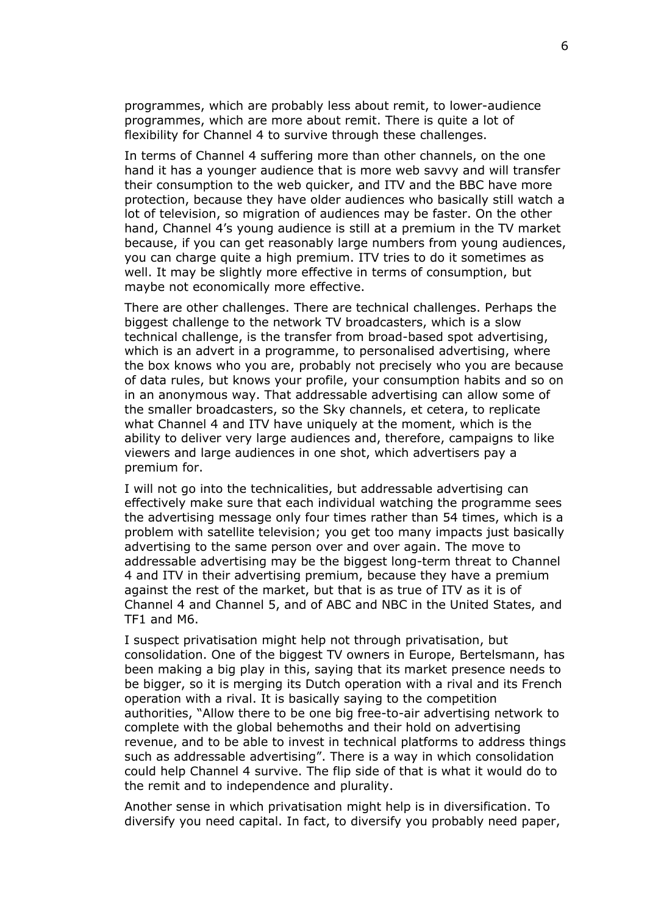programmes, which are probably less about remit, to lower-audience programmes, which are more about remit. There is quite a lot of flexibility for Channel 4 to survive through these challenges.

In terms of Channel 4 suffering more than other channels, on the one hand it has a younger audience that is more web savvy and will transfer their consumption to the web quicker, and ITV and the BBC have more protection, because they have older audiences who basically still watch a lot of television, so migration of audiences may be faster. On the other hand, Channel 4's young audience is still at a premium in the TV market because, if you can get reasonably large numbers from young audiences, you can charge quite a high premium. ITV tries to do it sometimes as well. It may be slightly more effective in terms of consumption, but maybe not economically more effective.

There are other challenges. There are technical challenges. Perhaps the biggest challenge to the network TV broadcasters, which is a slow technical challenge, is the transfer from broad-based spot advertising, which is an advert in a programme, to personalised advertising, where the box knows who you are, probably not precisely who you are because of data rules, but knows your profile, your consumption habits and so on in an anonymous way. That addressable advertising can allow some of the smaller broadcasters, so the Sky channels, et cetera, to replicate what Channel 4 and ITV have uniquely at the moment, which is the ability to deliver very large audiences and, therefore, campaigns to like viewers and large audiences in one shot, which advertisers pay a premium for.

I will not go into the technicalities, but addressable advertising can effectively make sure that each individual watching the programme sees the advertising message only four times rather than 54 times, which is a problem with satellite television; you get too many impacts just basically advertising to the same person over and over again. The move to addressable advertising may be the biggest long-term threat to Channel 4 and ITV in their advertising premium, because they have a premium against the rest of the market, but that is as true of ITV as it is of Channel 4 and Channel 5, and of ABC and NBC in the United States, and TF1 and M6.

I suspect privatisation might help not through privatisation, but consolidation. One of the biggest TV owners in Europe, Bertelsmann, has been making a big play in this, saying that its market presence needs to be bigger, so it is merging its Dutch operation with a rival and its French operation with a rival. It is basically saying to the competition authorities, "Allow there to be one big free-to-air advertising network to complete with the global behemoths and their hold on advertising revenue, and to be able to invest in technical platforms to address things such as addressable advertising". There is a way in which consolidation could help Channel 4 survive. The flip side of that is what it would do to the remit and to independence and plurality.

Another sense in which privatisation might help is in diversification. To diversify you need capital. In fact, to diversify you probably need paper,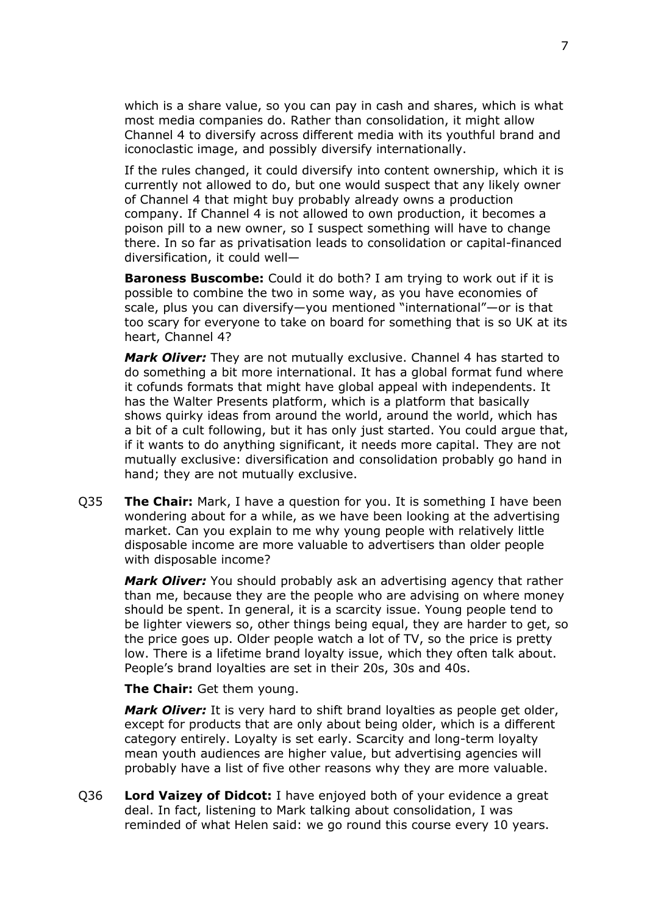which is a share value, so you can pay in cash and shares, which is what most media companies do. Rather than consolidation, it might allow Channel 4 to diversify across different media with its youthful brand and iconoclastic image, and possibly diversify internationally.

If the rules changed, it could diversify into content ownership, which it is currently not allowed to do, but one would suspect that any likely owner of Channel 4 that might buy probably already owns a production company. If Channel 4 is not allowed to own production, it becomes a poison pill to a new owner, so I suspect something will have to change there. In so far as privatisation leads to consolidation or capital-financed diversification, it could well—

**Baroness Buscombe:** Could it do both? I am trying to work out if it is possible to combine the two in some way, as you have economies of scale, plus you can diversify—you mentioned "international"—or is that too scary for everyone to take on board for something that is so UK at its heart, Channel 4?

*Mark Oliver:* They are not mutually exclusive. Channel 4 has started to do something a bit more international. It has a global format fund where it cofunds formats that might have global appeal with independents. It has the Walter Presents platform, which is a platform that basically shows quirky ideas from around the world, around the world, which has a bit of a cult following, but it has only just started. You could argue that, if it wants to do anything significant, it needs more capital. They are not mutually exclusive: diversification and consolidation probably go hand in hand; they are not mutually exclusive.

Q35 **The Chair:** Mark, I have a question for you. It is something I have been wondering about for a while, as we have been looking at the advertising market. Can you explain to me why young people with relatively little disposable income are more valuable to advertisers than older people with disposable income?

*Mark Oliver:* You should probably ask an advertising agency that rather than me, because they are the people who are advising on where money should be spent. In general, it is a scarcity issue. Young people tend to be lighter viewers so, other things being equal, they are harder to get, so the price goes up. Older people watch a lot of TV, so the price is pretty low. There is a lifetime brand loyalty issue, which they often talk about. People's brand loyalties are set in their 20s, 30s and 40s.

**The Chair:** Get them young.

*Mark Oliver:* It is very hard to shift brand loyalties as people get older, except for products that are only about being older, which is a different category entirely. Loyalty is set early. Scarcity and long-term loyalty mean youth audiences are higher value, but advertising agencies will probably have a list of five other reasons why they are more valuable.

Q36 **Lord Vaizey of Didcot:** I have enjoyed both of your evidence a great deal. In fact, listening to Mark talking about consolidation, I was reminded of what Helen said: we go round this course every 10 years.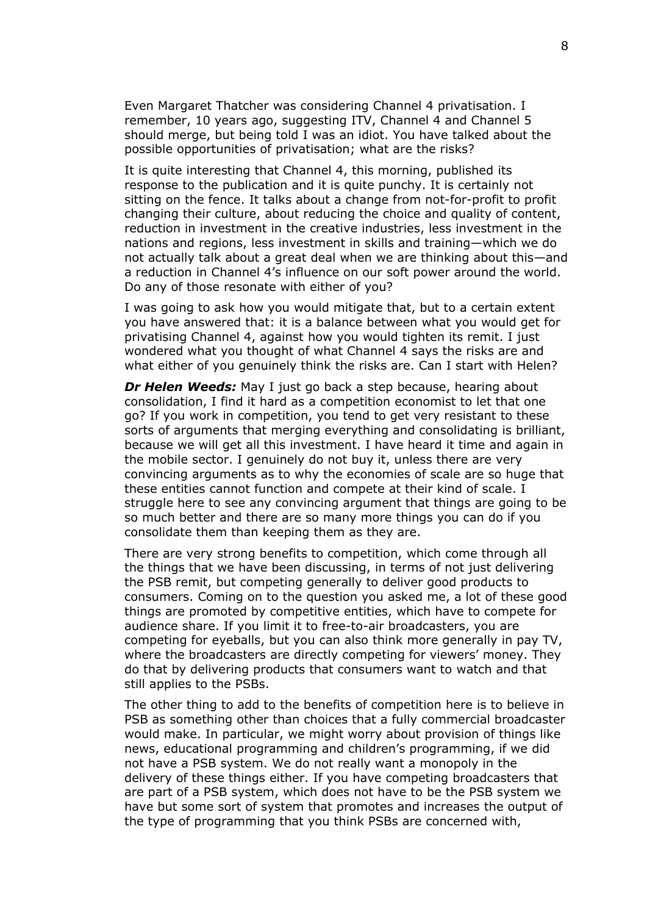Even Margaret Thatcher was considering Channel 4 privatisation. I remember, 10 years ago, suggesting ITV, Channel 4 and Channel 5 should merge, but being told I was an idiot. You have talked about the possible opportunities of privatisation; what are the risks?

It is quite interesting that Channel 4, this morning, published its response to the publication and it is quite punchy. It is certainly not sitting on the fence. It talks about a change from not-for-profit to profit changing their culture, about reducing the choice and quality of content, reduction in investment in the creative industries, less investment in the nations and regions, less investment in skills and training—which we do not actually talk about a great deal when we are thinking about this—and a reduction in Channel 4's influence on our soft power around the world. Do any of those resonate with either of you?

I was going to ask how you would mitigate that, but to a certain extent you have answered that: it is a balance between what you would get for privatising Channel 4, against how you would tighten its remit. I just wondered what you thought of what Channel 4 says the risks are and what either of you genuinely think the risks are. Can I start with Helen?

*Dr Helen Weeds:* May I just go back a step because, hearing about consolidation, I find it hard as a competition economist to let that one go? If you work in competition, you tend to get very resistant to these sorts of arguments that merging everything and consolidating is brilliant, because we will get all this investment. I have heard it time and again in the mobile sector. I genuinely do not buy it, unless there are very convincing arguments as to why the economies of scale are so huge that these entities cannot function and compete at their kind of scale. I struggle here to see any convincing argument that things are going to be so much better and there are so many more things you can do if you consolidate them than keeping them as they are.

There are very strong benefits to competition, which come through all the things that we have been discussing, in terms of not just delivering the PSB remit, but competing generally to deliver good products to consumers. Coming on to the question you asked me, a lot of these good things are promoted by competitive entities, which have to compete for audience share. If you limit it to free-to-air broadcasters, you are competing for eyeballs, but you can also think more generally in pay TV, where the broadcasters are directly competing for viewers' money. They do that by delivering products that consumers want to watch and that still applies to the PSBs.

The other thing to add to the benefits of competition here is to believe in PSB as something other than choices that a fully commercial broadcaster would make. In particular, we might worry about provision of things like news, educational programming and children's programming, if we did not have a PSB system. We do not really want a monopoly in the delivery of these things either. If you have competing broadcasters that are part of a PSB system, which does not have to be the PSB system we have but some sort of system that promotes and increases the output of the type of programming that you think PSBs are concerned with,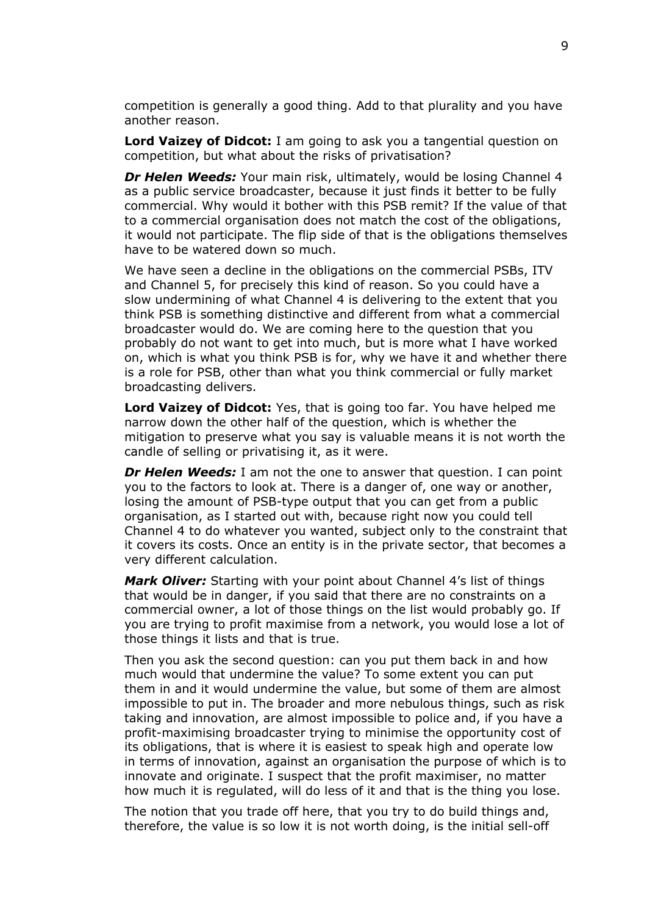competition is generally a good thing. Add to that plurality and you have another reason.

**Lord Vaizey of Didcot:** I am going to ask you a tangential question on competition, but what about the risks of privatisation?

*Dr Helen Weeds:* Your main risk, ultimately, would be losing Channel 4 as a public service broadcaster, because it just finds it better to be fully commercial. Why would it bother with this PSB remit? If the value of that to a commercial organisation does not match the cost of the obligations, it would not participate. The flip side of that is the obligations themselves have to be watered down so much.

We have seen a decline in the obligations on the commercial PSBs, ITV and Channel 5, for precisely this kind of reason. So you could have a slow undermining of what Channel 4 is delivering to the extent that you think PSB is something distinctive and different from what a commercial broadcaster would do. We are coming here to the question that you probably do not want to get into much, but is more what I have worked on, which is what you think PSB is for, why we have it and whether there is a role for PSB, other than what you think commercial or fully market broadcasting delivers.

**Lord Vaizey of Didcot:** Yes, that is going too far. You have helped me narrow down the other half of the question, which is whether the mitigation to preserve what you say is valuable means it is not worth the candle of selling or privatising it, as it were.

*Dr Helen Weeds:* I am not the one to answer that question. I can point you to the factors to look at. There is a danger of, one way or another, losing the amount of PSB-type output that you can get from a public organisation, as I started out with, because right now you could tell Channel 4 to do whatever you wanted, subject only to the constraint that it covers its costs. Once an entity is in the private sector, that becomes a very different calculation.

*Mark Oliver:* Starting with your point about Channel 4's list of things that would be in danger, if you said that there are no constraints on a commercial owner, a lot of those things on the list would probably go. If you are trying to profit maximise from a network, you would lose a lot of those things it lists and that is true.

Then you ask the second question: can you put them back in and how much would that undermine the value? To some extent you can put them in and it would undermine the value, but some of them are almost impossible to put in. The broader and more nebulous things, such as risk taking and innovation, are almost impossible to police and, if you have a profit-maximising broadcaster trying to minimise the opportunity cost of its obligations, that is where it is easiest to speak high and operate low in terms of innovation, against an organisation the purpose of which is to innovate and originate. I suspect that the profit maximiser, no matter how much it is regulated, will do less of it and that is the thing you lose.

The notion that you trade off here, that you try to do build things and, therefore, the value is so low it is not worth doing, is the initial sell-off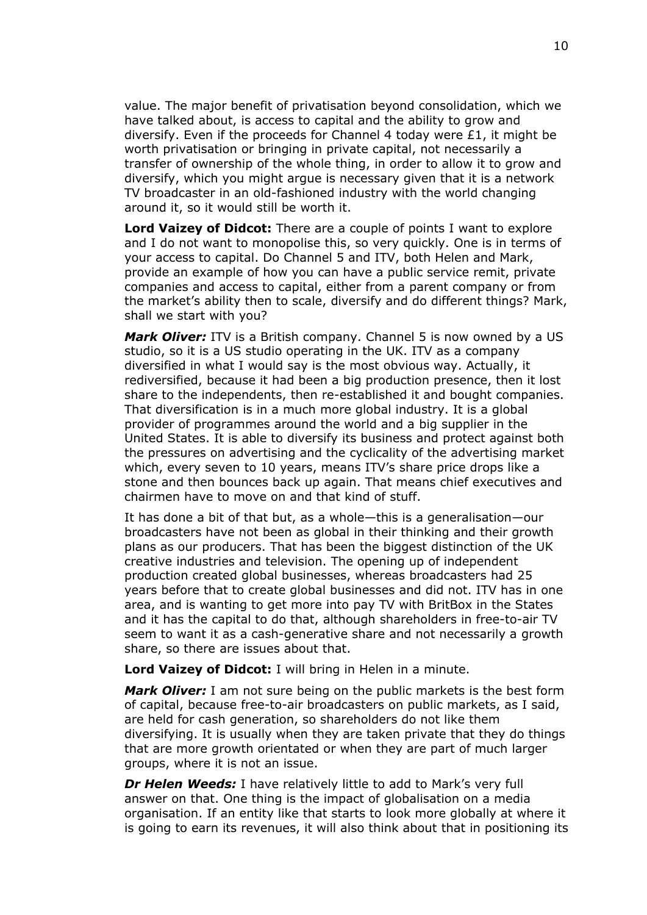value. The major benefit of privatisation beyond consolidation, which we have talked about, is access to capital and the ability to grow and diversify. Even if the proceeds for Channel 4 today were £1, it might be worth privatisation or bringing in private capital, not necessarily a transfer of ownership of the whole thing, in order to allow it to grow and diversify, which you might argue is necessary given that it is a network TV broadcaster in an old-fashioned industry with the world changing around it, so it would still be worth it.

**Lord Vaizey of Didcot:** There are a couple of points I want to explore and I do not want to monopolise this, so very quickly. One is in terms of your access to capital. Do Channel 5 and ITV, both Helen and Mark, provide an example of how you can have a public service remit, private companies and access to capital, either from a parent company or from the market's ability then to scale, diversify and do different things? Mark, shall we start with you?

*Mark Oliver:* ITV is a British company. Channel 5 is now owned by a US studio, so it is a US studio operating in the UK. ITV as a company diversified in what I would say is the most obvious way. Actually, it rediversified, because it had been a big production presence, then it lost share to the independents, then re-established it and bought companies. That diversification is in a much more global industry. It is a global provider of programmes around the world and a big supplier in the United States. It is able to diversify its business and protect against both the pressures on advertising and the cyclicality of the advertising market which, every seven to 10 years, means ITV's share price drops like a stone and then bounces back up again. That means chief executives and chairmen have to move on and that kind of stuff.

It has done a bit of that but, as a whole—this is a generalisation—our broadcasters have not been as global in their thinking and their growth plans as our producers. That has been the biggest distinction of the UK creative industries and television. The opening up of independent production created global businesses, whereas broadcasters had 25 years before that to create global businesses and did not. ITV has in one area, and is wanting to get more into pay TV with BritBox in the States and it has the capital to do that, although shareholders in free-to-air TV seem to want it as a cash-generative share and not necessarily a growth share, so there are issues about that.

**Lord Vaizey of Didcot:** I will bring in Helen in a minute.

*Mark Oliver:* I am not sure being on the public markets is the best form of capital, because free-to-air broadcasters on public markets, as I said, are held for cash generation, so shareholders do not like them diversifying. It is usually when they are taken private that they do things that are more growth orientated or when they are part of much larger groups, where it is not an issue.

*Dr Helen Weeds:* I have relatively little to add to Mark's very full answer on that. One thing is the impact of globalisation on a media organisation. If an entity like that starts to look more globally at where it is going to earn its revenues, it will also think about that in positioning its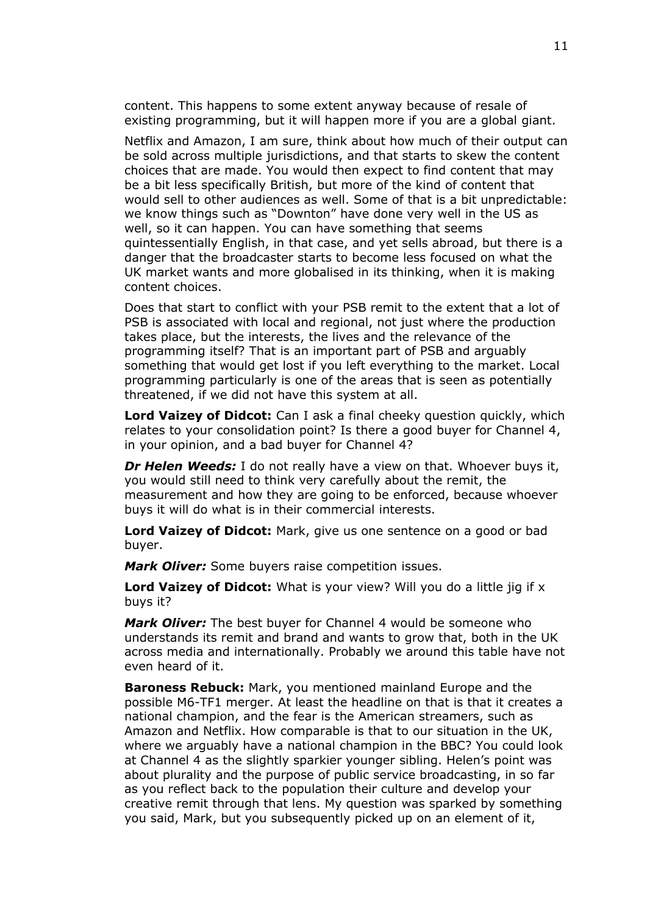content. This happens to some extent anyway because of resale of existing programming, but it will happen more if you are a global giant.

Netflix and Amazon, I am sure, think about how much of their output can be sold across multiple jurisdictions, and that starts to skew the content choices that are made. You would then expect to find content that may be a bit less specifically British, but more of the kind of content that would sell to other audiences as well. Some of that is a bit unpredictable: we know things such as "Downton" have done very well in the US as well, so it can happen. You can have something that seems quintessentially English, in that case, and yet sells abroad, but there is a danger that the broadcaster starts to become less focused on what the UK market wants and more globalised in its thinking, when it is making content choices.

Does that start to conflict with your PSB remit to the extent that a lot of PSB is associated with local and regional, not just where the production takes place, but the interests, the lives and the relevance of the programming itself? That is an important part of PSB and arguably something that would get lost if you left everything to the market. Local programming particularly is one of the areas that is seen as potentially threatened, if we did not have this system at all.

**Lord Vaizey of Didcot:** Can I ask a final cheeky question quickly, which relates to your consolidation point? Is there a good buyer for Channel 4, in your opinion, and a bad buyer for Channel 4?

*Dr Helen Weeds:* I do not really have a view on that. Whoever buys it, you would still need to think very carefully about the remit, the measurement and how they are going to be enforced, because whoever buys it will do what is in their commercial interests.

**Lord Vaizey of Didcot:** Mark, give us one sentence on a good or bad buyer.

*Mark Oliver:* Some buyers raise competition issues.

**Lord Vaizey of Didcot:** What is your view? Will you do a little jig if x buys it?

*Mark Oliver:* The best buyer for Channel 4 would be someone who understands its remit and brand and wants to grow that, both in the UK across media and internationally. Probably we around this table have not even heard of it.

**Baroness Rebuck:** Mark, you mentioned mainland Europe and the possible M6-TF1 merger. At least the headline on that is that it creates a national champion, and the fear is the American streamers, such as Amazon and Netflix. How comparable is that to our situation in the UK, where we arguably have a national champion in the BBC? You could look at Channel 4 as the slightly sparkier younger sibling. Helen's point was about plurality and the purpose of public service broadcasting, in so far as you reflect back to the population their culture and develop your creative remit through that lens. My question was sparked by something you said, Mark, but you subsequently picked up on an element of it,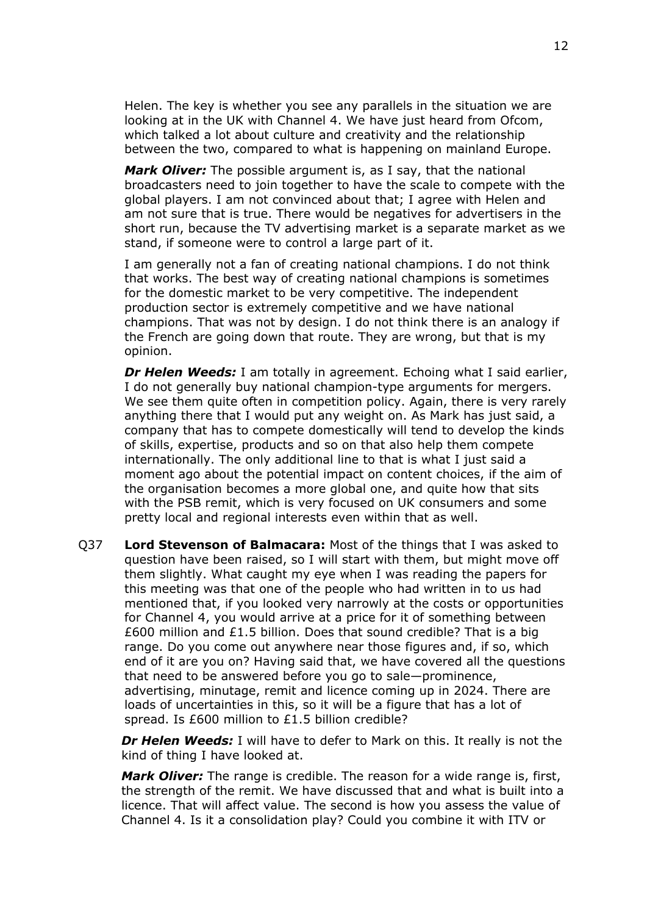Helen. The key is whether you see any parallels in the situation we are looking at in the UK with Channel 4. We have just heard from Ofcom, which talked a lot about culture and creativity and the relationship between the two, compared to what is happening on mainland Europe.

*Mark Oliver:* The possible argument is, as I say, that the national broadcasters need to join together to have the scale to compete with the global players. I am not convinced about that; I agree with Helen and am not sure that is true. There would be negatives for advertisers in the short run, because the TV advertising market is a separate market as we stand, if someone were to control a large part of it.

I am generally not a fan of creating national champions. I do not think that works. The best way of creating national champions is sometimes for the domestic market to be very competitive. The independent production sector is extremely competitive and we have national champions. That was not by design. I do not think there is an analogy if the French are going down that route. They are wrong, but that is my opinion.

*Dr Helen Weeds:* I am totally in agreement. Echoing what I said earlier, I do not generally buy national champion-type arguments for mergers. We see them quite often in competition policy. Again, there is very rarely anything there that I would put any weight on. As Mark has just said, a company that has to compete domestically will tend to develop the kinds of skills, expertise, products and so on that also help them compete internationally. The only additional line to that is what I just said a moment ago about the potential impact on content choices, if the aim of the organisation becomes a more global one, and quite how that sits with the PSB remit, which is very focused on UK consumers and some pretty local and regional interests even within that as well.

Q37 **Lord Stevenson of Balmacara:** Most of the things that I was asked to question have been raised, so I will start with them, but might move off them slightly. What caught my eye when I was reading the papers for this meeting was that one of the people who had written in to us had mentioned that, if you looked very narrowly at the costs or opportunities for Channel 4, you would arrive at a price for it of something between £600 million and £1.5 billion. Does that sound credible? That is a big range. Do you come out anywhere near those figures and, if so, which end of it are you on? Having said that, we have covered all the questions that need to be answered before you go to sale—prominence, advertising, minutage, remit and licence coming up in 2024. There are loads of uncertainties in this, so it will be a figure that has a lot of spread. Is £600 million to £1.5 billion credible?

*Dr Helen Weeds:* I will have to defer to Mark on this. It really is not the kind of thing I have looked at.

*Mark Oliver:* The range is credible. The reason for a wide range is, first, the strength of the remit. We have discussed that and what is built into a licence. That will affect value. The second is how you assess the value of Channel 4. Is it a consolidation play? Could you combine it with ITV or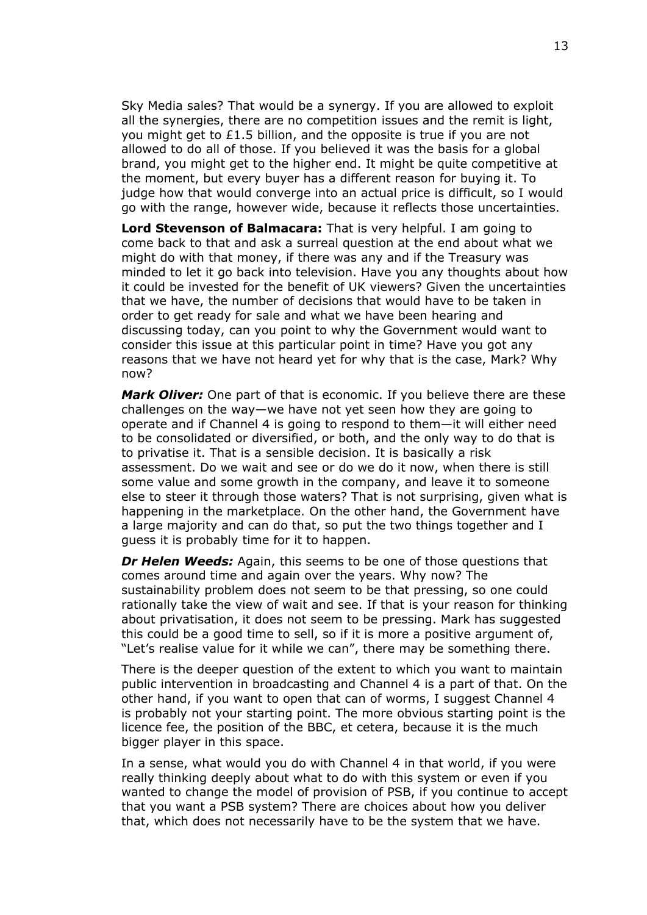Sky Media sales? That would be a synergy. If you are allowed to exploit all the synergies, there are no competition issues and the remit is light, you might get to £1.5 billion, and the opposite is true if you are not allowed to do all of those. If you believed it was the basis for a global brand, you might get to the higher end. It might be quite competitive at the moment, but every buyer has a different reason for buying it. To judge how that would converge into an actual price is difficult, so I would go with the range, however wide, because it reflects those uncertainties.

**Lord Stevenson of Balmacara:** That is very helpful. I am going to come back to that and ask a surreal question at the end about what we might do with that money, if there was any and if the Treasury was minded to let it go back into television. Have you any thoughts about how it could be invested for the benefit of UK viewers? Given the uncertainties that we have, the number of decisions that would have to be taken in order to get ready for sale and what we have been hearing and discussing today, can you point to why the Government would want to consider this issue at this particular point in time? Have you got any reasons that we have not heard yet for why that is the case, Mark? Why now?

*Mark Oliver:* One part of that is economic. If you believe there are these challenges on the way—we have not yet seen how they are going to operate and if Channel 4 is going to respond to them—it will either need to be consolidated or diversified, or both, and the only way to do that is to privatise it. That is a sensible decision. It is basically a risk assessment. Do we wait and see or do we do it now, when there is still some value and some growth in the company, and leave it to someone else to steer it through those waters? That is not surprising, given what is happening in the marketplace. On the other hand, the Government have a large majority and can do that, so put the two things together and I guess it is probably time for it to happen.

*Dr Helen Weeds:* Again, this seems to be one of those questions that comes around time and again over the years. Why now? The sustainability problem does not seem to be that pressing, so one could rationally take the view of wait and see. If that is your reason for thinking about privatisation, it does not seem to be pressing. Mark has suggested this could be a good time to sell, so if it is more a positive argument of, "Let's realise value for it while we can", there may be something there.

There is the deeper question of the extent to which you want to maintain public intervention in broadcasting and Channel 4 is a part of that. On the other hand, if you want to open that can of worms, I suggest Channel 4 is probably not your starting point. The more obvious starting point is the licence fee, the position of the BBC, et cetera, because it is the much bigger player in this space.

In a sense, what would you do with Channel 4 in that world, if you were really thinking deeply about what to do with this system or even if you wanted to change the model of provision of PSB, if you continue to accept that you want a PSB system? There are choices about how you deliver that, which does not necessarily have to be the system that we have.